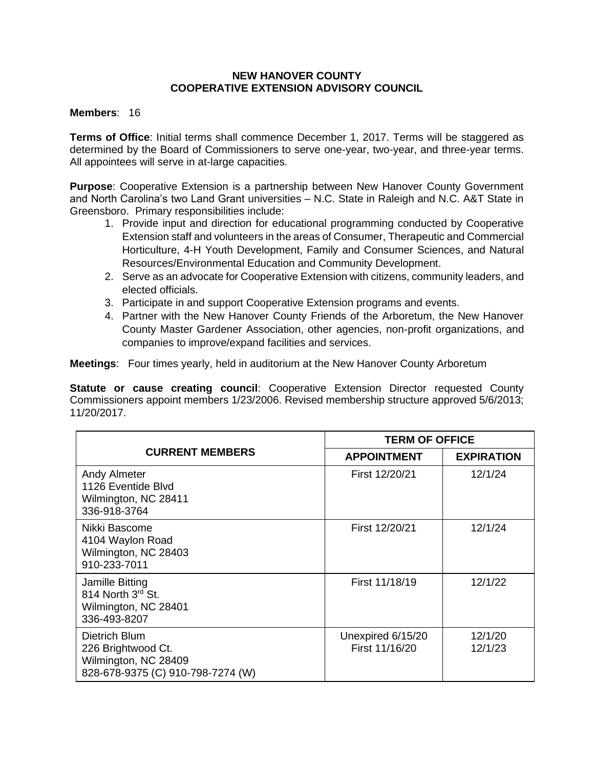## **NEW HANOVER COUNTY COOPERATIVE EXTENSION ADVISORY COUNCIL**

## **Members**: 16

**Terms of Office**: Initial terms shall commence December 1, 2017. Terms will be staggered as determined by the Board of Commissioners to serve one-year, two-year, and three-year terms. All appointees will serve in at-large capacities.

**Purpose**: Cooperative Extension is a partnership between New Hanover County Government and North Carolina's two Land Grant universities – N.C. State in Raleigh and N.C. A&T State in Greensboro. Primary responsibilities include:

- 1. Provide input and direction for educational programming conducted by Cooperative Extension staff and volunteers in the areas of Consumer, Therapeutic and Commercial Horticulture, 4-H Youth Development, Family and Consumer Sciences, and Natural Resources/Environmental Education and Community Development.
- 2. Serve as an advocate for Cooperative Extension with citizens, community leaders, and elected officials.
- 3. Participate in and support Cooperative Extension programs and events.
- 4. Partner with the New Hanover County Friends of the Arboretum, the New Hanover County Master Gardener Association, other agencies, non-profit organizations, and companies to improve/expand facilities and services.

**Meetings**: Four times yearly, held in auditorium at the New Hanover County Arboretum

**Statute or cause creating council:** Cooperative Extension Director requested County Commissioners appoint members 1/23/2006. Revised membership structure approved 5/6/2013; 11/20/2017.

|                                                                                                  | <b>TERM OF OFFICE</b>               |                    |
|--------------------------------------------------------------------------------------------------|-------------------------------------|--------------------|
| <b>CURRENT MEMBERS</b>                                                                           | <b>APPOINTMENT</b>                  | <b>EXPIRATION</b>  |
| <b>Andy Almeter</b><br>1126 Eventide Blvd<br>Wilmington, NC 28411<br>336-918-3764                | First 12/20/21                      | 12/1/24            |
| Nikki Bascome<br>4104 Waylon Road<br>Wilmington, NC 28403<br>910-233-7011                        | First 12/20/21                      | 12/1/24            |
| Jamille Bitting<br>814 North 3rd St.<br>Wilmington, NC 28401<br>336-493-8207                     | First 11/18/19                      | 12/1/22            |
| Dietrich Blum<br>226 Brightwood Ct.<br>Wilmington, NC 28409<br>828-678-9375 (C) 910-798-7274 (W) | Unexpired 6/15/20<br>First 11/16/20 | 12/1/20<br>12/1/23 |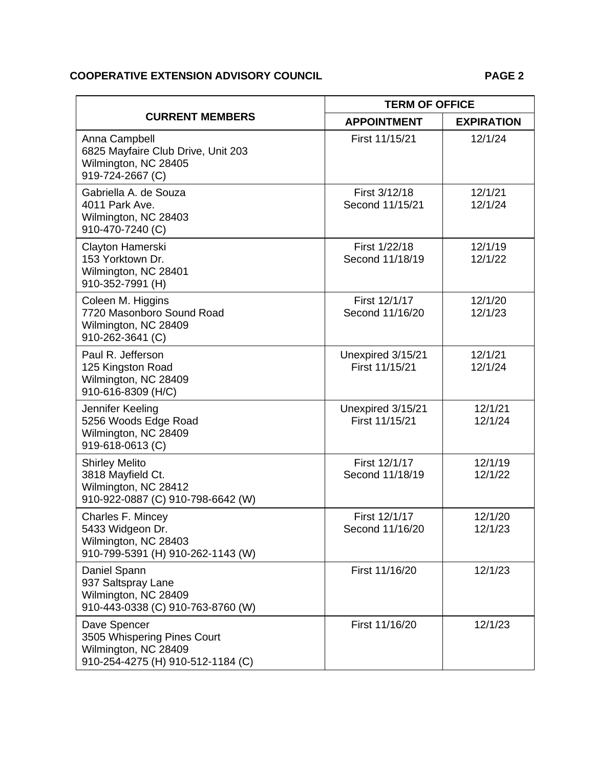## **COOPERATIVE EXTENSION ADVISORY COUNCIL PAGE 2**

| <b>CURRENT MEMBERS</b>                                                                                   | <b>TERM OF OFFICE</b>               |                    |
|----------------------------------------------------------------------------------------------------------|-------------------------------------|--------------------|
|                                                                                                          | <b>APPOINTMENT</b>                  | <b>EXPIRATION</b>  |
| Anna Campbell<br>6825 Mayfaire Club Drive, Unit 203<br>Wilmington, NC 28405<br>919-724-2667 (C)          | First 11/15/21                      | 12/1/24            |
| Gabriella A. de Souza<br>4011 Park Ave.<br>Wilmington, NC 28403<br>910-470-7240 (C)                      | First 3/12/18<br>Second 11/15/21    | 12/1/21<br>12/1/24 |
| Clayton Hamerski<br>153 Yorktown Dr.<br>Wilmington, NC 28401<br>910-352-7991 (H)                         | First 1/22/18<br>Second 11/18/19    | 12/1/19<br>12/1/22 |
| Coleen M. Higgins<br>7720 Masonboro Sound Road<br>Wilmington, NC 28409<br>910-262-3641 (C)               | First 12/1/17<br>Second 11/16/20    | 12/1/20<br>12/1/23 |
| Paul R. Jefferson<br>125 Kingston Road<br>Wilmington, NC 28409<br>910-616-8309 (H/C)                     | Unexpired 3/15/21<br>First 11/15/21 | 12/1/21<br>12/1/24 |
| Jennifer Keeling<br>5256 Woods Edge Road<br>Wilmington, NC 28409<br>919-618-0613 (C)                     | Unexpired 3/15/21<br>First 11/15/21 | 12/1/21<br>12/1/24 |
| <b>Shirley Melito</b><br>3818 Mayfield Ct.<br>Wilmington, NC 28412<br>910-922-0887 (C) 910-798-6642 (W)  | First 12/1/17<br>Second 11/18/19    | 12/1/19<br>12/1/22 |
| Charles F. Mincey<br>5433 Widgeon Dr.<br>Wilmington, NC 28403<br>910-799-5391 (H) 910-262-1143 (W)       | First 12/1/17<br>Second 11/16/20    | 12/1/20<br>12/1/23 |
| Daniel Spann<br>937 Saltspray Lane<br>Wilmington, NC 28409<br>910-443-0338 (C) 910-763-8760 (W)          | First 11/16/20                      | 12/1/23            |
| Dave Spencer<br>3505 Whispering Pines Court<br>Wilmington, NC 28409<br>910-254-4275 (H) 910-512-1184 (C) | First 11/16/20                      | 12/1/23            |